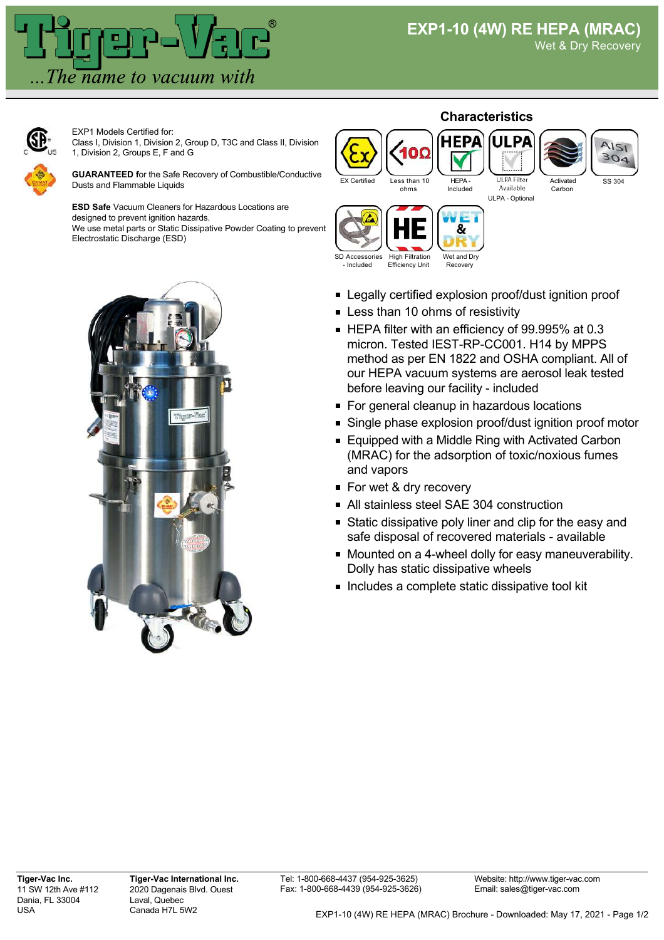

Wet & Dry Recovery



EXP1 Models Certified for: Class I, Division 1, Division 2, Group D, T3C and Class II, Division 1, Division 2, Groups E, F and G

**GUARANTEED f**or the Safe Recovery of Combustible/Conductive Dusts and Flammable Liquids

**ESD Safe** Vacuum Cleaners for Hazardous Locations are designed to prevent ignition hazards.

We use metal parts or Static Dissipative Powder Coating to prevent Electrostatic Discharge (ESD)









Activated Carbon

& SD Accessories Wet and Dry High Filtration Efficiency Unit - Included

Recovery

- **Example 2** Legally certified explosion proof/dust ignition proof
- **Less than 10 ohms of resistivity**
- HEPA filter with an efficiency of 99.995% at 0.3 micron. Tested IEST-RP-CC001. H14 by MPPS method as per EN 1822 and OSHA compliant. All of our HEPA vacuum systems are aerosol leak tested before leaving our facility - included
- For general cleanup in hazardous locations
- Single phase explosion proof/dust ignition proof motor
- Equipped with a Middle Ring with Activated Carbon (MRAC) for the adsorption of toxic/noxious fumes and vapors
- For wet & dry recovery
- All stainless steel SAE 304 construction
- **Static dissipative poly liner and clip for the easy and** safe disposal of recovered materials - available
- **Nounted on a 4-wheel dolly for easy maneuverability.** Dolly has static dissipative wheels
- **Includes a complete static dissipative tool kit**